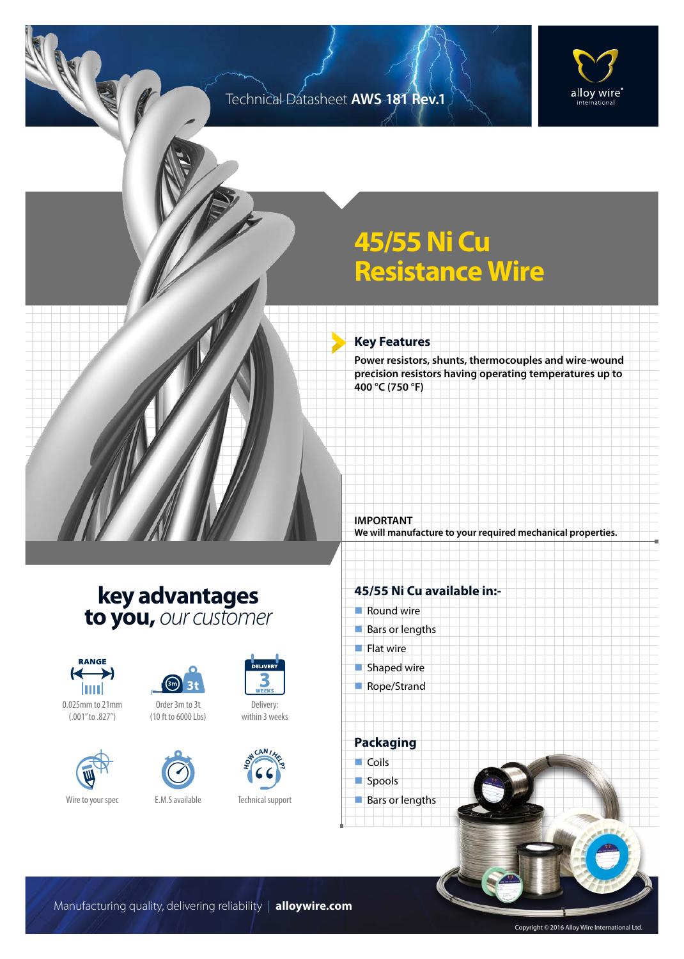### Technical Datasheet **AWS 181 Rev.1**



# **45/55 Ni Cu Resistance Wire**

#### **Key Features**

**Power resistors, shunts, thermocouples and wire-wound precision resistors having operating temperatures up to 400 °C (750 °F)**

**IMPORTANT We will manufacture to your required mechanical properties.**

### **key advantages to you,** *our customer*









Order 3m to 3t (10 ft to 6000 Lbs)



# DELIVER Delivery:

within 3 weeks



Technical support

#### **45/55 Ni Cu available in:-**

 $\blacksquare$  Round wire  $\blacksquare$  Bars or lengths  $\blacksquare$  Flat wire  $\blacksquare$  Shaped wire Rope/Strand **Packaging**  $\Box$ Coils

spools **Bars or lengths** 

Manufacturing quality, delivering reliability | **alloywire.com**